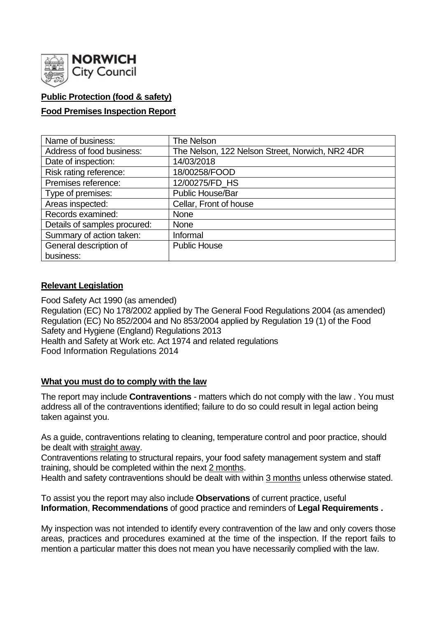

## **Public Protection (food & safety)**

### **Food Premises Inspection Report**

| Name of business:            | The Nelson                                      |
|------------------------------|-------------------------------------------------|
| Address of food business:    | The Nelson, 122 Nelson Street, Norwich, NR2 4DR |
| Date of inspection:          | 14/03/2018                                      |
| Risk rating reference:       | 18/00258/FOOD                                   |
| Premises reference:          | 12/00275/FD_HS                                  |
| Type of premises:            | <b>Public House/Bar</b>                         |
| Areas inspected:             | Cellar, Front of house                          |
| Records examined:            | <b>None</b>                                     |
| Details of samples procured: | <b>None</b>                                     |
| Summary of action taken:     | Informal                                        |
| General description of       | <b>Public House</b>                             |
| business:                    |                                                 |

### **Relevant Legislation**

Food Safety Act 1990 (as amended) Regulation (EC) No 178/2002 applied by The General Food Regulations 2004 (as amended) Regulation (EC) No 852/2004 and No 853/2004 applied by Regulation 19 (1) of the Food Safety and Hygiene (England) Regulations 2013 Health and Safety at Work etc. Act 1974 and related regulations Food Information Regulations 2014

### **What you must do to comply with the law**

The report may include **Contraventions** - matters which do not comply with the law . You must address all of the contraventions identified; failure to do so could result in legal action being taken against you.

As a guide, contraventions relating to cleaning, temperature control and poor practice, should be dealt with straight away.

Contraventions relating to structural repairs, your food safety management system and staff training, should be completed within the next 2 months.

Health and safety contraventions should be dealt with within 3 months unless otherwise stated.

To assist you the report may also include **Observations** of current practice, useful **Information**, **Recommendations** of good practice and reminders of **Legal Requirements .**

My inspection was not intended to identify every contravention of the law and only covers those areas, practices and procedures examined at the time of the inspection. If the report fails to mention a particular matter this does not mean you have necessarily complied with the law.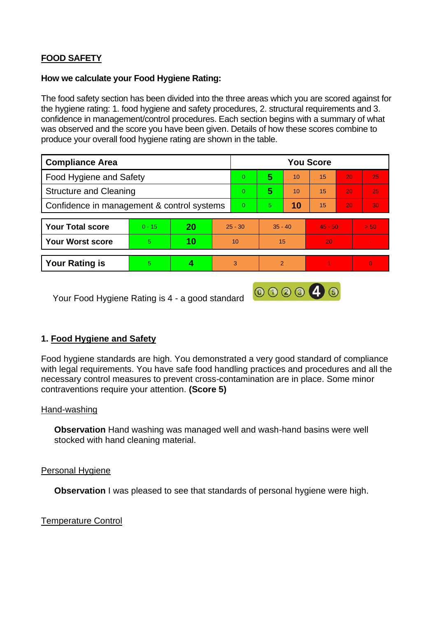# **FOOD SAFETY**

#### **How we calculate your Food Hygiene Rating:**

The food safety section has been divided into the three areas which you are scored against for the hygiene rating: 1. food hygiene and safety procedures, 2. structural requirements and 3. confidence in management/control procedures. Each section begins with a summary of what was observed and the score you have been given. Details of how these scores combine to produce your overall food hygiene rating are shown in the table.

| <b>Compliance Area</b>                     |          |    |           | <b>You Score</b> |               |    |           |    |          |
|--------------------------------------------|----------|----|-----------|------------------|---------------|----|-----------|----|----------|
| Food Hygiene and Safety                    |          |    |           | $\overline{0}$   | 5             | 10 | 15        | 20 | 25       |
| <b>Structure and Cleaning</b>              |          |    |           | $\overline{0}$   | 5             | 10 | 15        | 20 | 25       |
| Confidence in management & control systems |          |    |           | $\overline{0}$   | 5.            | 10 | 15        | 20 | 30       |
|                                            |          |    |           |                  |               |    |           |    |          |
| <b>Your Total score</b>                    | $0 - 15$ | 20 | $25 - 30$ |                  | $35 - 40$     |    | $45 - 50$ |    | > 50     |
| <b>Your Worst score</b>                    | 5        | 10 | 10        |                  | 15            |    | 20        |    |          |
|                                            |          |    |           |                  |               |    |           |    |          |
| <b>Your Rating is</b>                      | 5        |    | 3         |                  | $\mathcal{P}$ |    |           |    | $\Omega$ |

Your Food Hygiene Rating is 4 - a good standard

## **1. Food Hygiene and Safety**

Food hygiene standards are high. You demonstrated a very good standard of compliance with legal requirements. You have safe food handling practices and procedures and all the necessary control measures to prevent cross-contamination are in place. Some minor contraventions require your attention. **(Score 5)**

000046

### Hand-washing

**Observation** Hand washing was managed well and wash-hand basins were well stocked with hand cleaning material.

### Personal Hygiene

**Observation** I was pleased to see that standards of personal hygiene were high.

### Temperature Control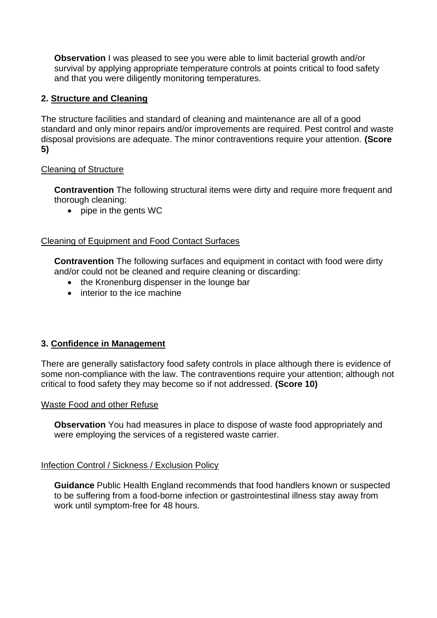**Observation** I was pleased to see you were able to limit bacterial growth and/or survival by applying appropriate temperature controls at points critical to food safety and that you were diligently monitoring temperatures.

### **2. Structure and Cleaning**

The structure facilities and standard of cleaning and maintenance are all of a good standard and only minor repairs and/or improvements are required. Pest control and waste disposal provisions are adequate. The minor contraventions require your attention. **(Score 5)**

### Cleaning of Structure

**Contravention** The following structural items were dirty and require more frequent and thorough cleaning:

• pipe in the gents WC

### Cleaning of Equipment and Food Contact Surfaces

**Contravention** The following surfaces and equipment in contact with food were dirty and/or could not be cleaned and require cleaning or discarding:

- the Kronenburg dispenser in the lounge bar
- interior to the ice machine

### **3. Confidence in Management**

There are generally satisfactory food safety controls in place although there is evidence of some non-compliance with the law. The contraventions require your attention; although not critical to food safety they may become so if not addressed. **(Score 10)**

#### Waste Food and other Refuse

**Observation** You had measures in place to dispose of waste food appropriately and were employing the services of a registered waste carrier.

#### Infection Control / Sickness / Exclusion Policy

**Guidance** Public Health England recommends that food handlers known or suspected to be suffering from a food-borne infection or gastrointestinal illness stay away from work until symptom-free for 48 hours.